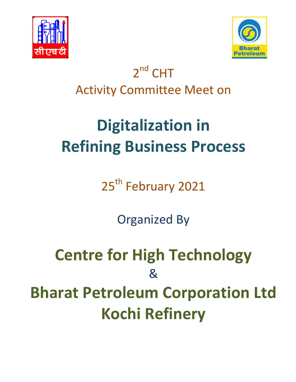



## 2<sup>nd</sup> CHT Activity Committee Meet on

## **Digitalization in Refining Business Process**

25<sup>th</sup> February 2021

Organized By

**Centre for High Technology**  & **Bharat Petroleum Corporation Ltd Kochi Refinery**